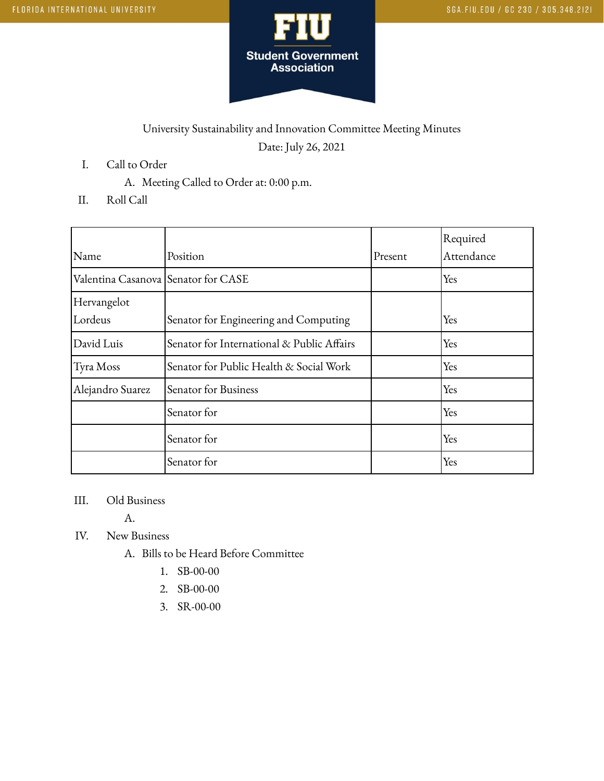

## University Sustainability and Innovation Committee Meeting Minutes Date: July 26, 2021

- I. Call to Order
	- A. Meeting Called to Order at: 0:00 p.m.
- II. Roll Call

|                                     |                                            |         | Required   |
|-------------------------------------|--------------------------------------------|---------|------------|
| Name                                | Position                                   | Present | Attendance |
| Valentina Casanova Senator for CASE |                                            |         | Yes        |
| Hervangelot                         |                                            |         |            |
| Lordeus                             | Senator for Engineering and Computing      |         | Yes        |
| David Luis                          | Senator for International & Public Affairs |         | Yes        |
| Tyra Moss                           | Senator for Public Health & Social Work    |         | Yes        |
| Alejandro Suarez                    | Senator for Business                       |         | Yes        |
|                                     | Senator for                                |         | Yes        |
|                                     | Senator for                                |         | Yes        |
|                                     | Senator for                                |         | Yes        |

## III. Old Business

A.

- IV. New Business
	- A. Bills to be Heard Before Committee
		- 1. SB-00-00
		- 2. SB-00-00
		- 3. SR-00-00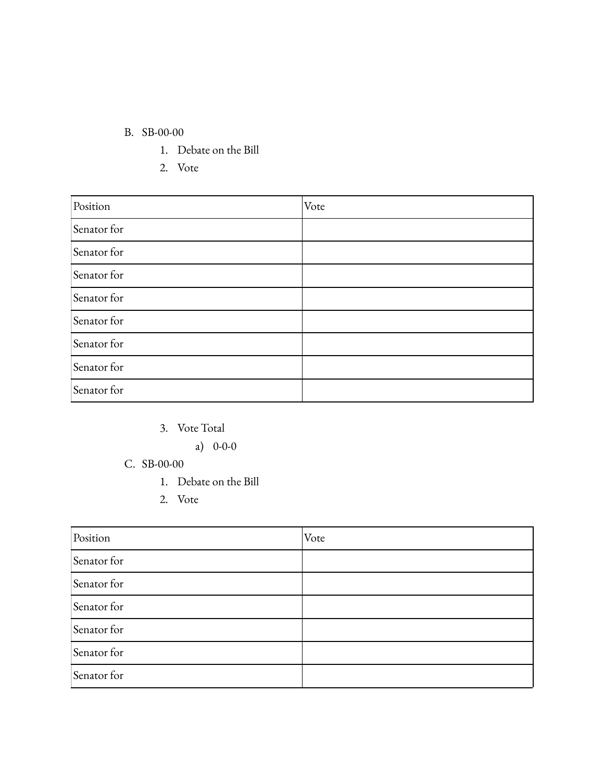## B. SB-00-00

- 1. Debate on the Bill
- 2. Vote

| Position    | Vote |
|-------------|------|
| Senator for |      |
| Senator for |      |
| Senator for |      |
| Senator for |      |
| Senator for |      |
| Senator for |      |
| Senator for |      |
| Senator for |      |

3. Vote Total

a) 0-0-0

- C. SB-00-00
	- 1. Debate on the Bill
	- 2. Vote

| Position    | Vote |
|-------------|------|
| Senator for |      |
| Senator for |      |
| Senator for |      |
| Senator for |      |
| Senator for |      |
| Senator for |      |